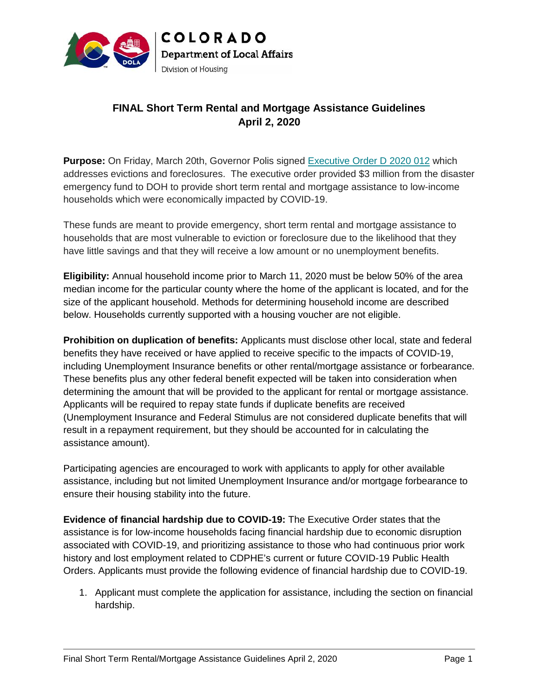

### **FINAL Short Term Rental and Mortgage Assistance Guidelines April 2, 2020**

**Purpose:** On Friday, March 20th, Governor Polis signed Executive Order D 2020 012 which addresses evictions and foreclosures. The executive order provided \$3 million from the disaster emergency fund to DOH to provide short term rental and mortgage assistance to low-income households which were economically impacted by COVID-19.

These funds are meant to provide emergency, short term rental and mortgage assistance to households that are most vulnerable to eviction or foreclosure due to the likelihood that they have little savings and that they will receive a low amount or no unemployment benefits.

**Eligibility:** Annual household income prior to March 11, 2020 must be below 50% of the area median income for the particular county where the home of the applicant is located, and for the size of the applicant household. Methods for determining household income are described below. Households currently supported with a housing voucher are not eligible. eholds that are most vulnerable to eviction or foreclosure due to the likelihood that they<br>little savings and that they will receive a low amount or no unemployment benefits.<br>**bility:** Annual household income prior to Marc

**Prohibition on duplication of benefits:** Applicants must disclose other local, state and federal benefits they have received or have applied to receive specific to the impacts of COVID-19, including Unemployment Insurance benefits or other rental/mortgage assistance or forbearance. These benefits plus any other federal benefit expected will be taken into consideration when determining the amount that will be provided to the applicant for rental or mortgage assistance. Applicants will be required to repay state funds if duplicate benefits are received (Unemployment Insurance and Federal Stimulus are not considered duplicate benefits that will result in a repayment requirement, but they should be accounted for in calculating the assistance amount). **EINAL Short Term Rental and Mortgage Assistance Guidelines**<br> **April 2, 2020**<br> **April 2, 2020**<br> **April 2, 2020**<br> **April 2, 2020**<br> **Order D.2020** 012 which<br>
which were sometrically impacted by COVI-19. Uniform the disaster<br> household. Methods for determining household income are described ouseholds currently supported with a housing voucher are not eligible.<br>
ion on duplication of benefits: Applicants must disclose other local, state and fede

Participating agencies are encouraged to work with applicants to apply for other available assistance, including but not limited Unemployment Insurance and/or mortgage forbearance to to ensure their housing stability into the future.

**Evidence of financial hardship due to COVID-19:** The Executive Order states that the assistance is for low-income households facing financial hardship due to economic disruption associated with COVID-19, and prioritizing assistance to those who had continuous prior work history and lost employment related to CDPHE's current or future COVID-19 Public Health Orders. Applicants must provide the following evidence of financial hardship due to COVID-19. **Evidence of financial hardship due to COVID-19:** The Executive Order states that the assistance is for low-income households facing financial hardship due to economic disruption associated with COVID-19, and prioritizing

1. Applicant must complete the application for assistance, including the section on financial hardship.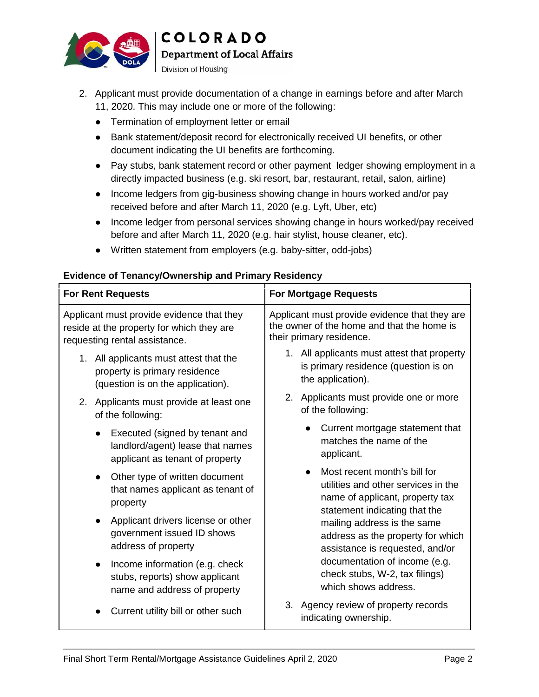

**Department of Local Affairs** 

Division of Housing

2. Applicant must provide documentation of a change in earnings before and after March 11, 2020. This may include one or more of the following:

Termination of employment letter or email

Bank statement/deposit record for electronically received UI benefits, or other document indicating the UI benefits are forthcoming.

Pay stubs, bank statement record or other payment ledger showing employment in a directly impacted business (e.g. ski resort, bar, restaurant, retail, salon, airline)

Income ledgers from gig-business showing change in hours worked and/or pay received before and after March 11, 2020 (e.g. Lyft, Uber, etc)

Income ledger from personal services showing change in hours worked/pay received before and after March 11, 2020 (e.g. hair stylist, house cleaner, etc).

Written statement from employers (e.g. baby-sitter, odd-jobs)

#### **For Rent Requests For Mortgage Requests** Applicant must provide evidence that they reside at the property for which they are requesting rental assistance. 1. All applicants must attest that the  $\qquad \qquad \mid$ property is primary residence (question is on the application). 2. Applicants must provide at least one of the following: Executed (signed by tenant and landlord/agent) lease that names applicant as tenant of property Other type of written document that names applicant as tenant of property Applicant drivers license or other government issued ID shows address of property Income information (e.g. check stubs, reports) show applicant name and address of property Current utility bill or other such Applicant must provide evidence that they are Applicant must provide evidence that they are  $\vert$ <br>the owner of the home and that the home is their primary residence. 1. All applicants must attest that property is primary residence (question is on the application). 2. Applicants must provide one or more of the following: Current mortgage statement that matches the name of the applicant. Most recent month's bill for utilities and other services in the name of applicant, property tax statement indicating that the mailing address is the same address as the property for which assistance is requested, and/or documentation of income (e.g. check stubs, W-2, tax filings) which shows address. 3. Agency review of property records indicating ownership. 11, 2020. This may include one or more of the following:<br>
Termination of employment letter or emal<br>
Bank statement vicebrait crear of or electronically received after document<br>
and therefits are forthcoming.<br>
The plank sta property is primary residence<br>
(question is on the application).<br>
Applicants must provide at least one<br>
of the following:<br>
Executed (signed by tenant and<br>
landlord/agent) lease that names<br>
applicant as tenant of property<br> property<br>Applicant drivers license or other<br>government issued ID shows<br>address of property<br>Income information (e.g. check<br>stubs, reports) show applicant All applicants must attest that property<br>is primary residence (question is on<br>the application).<br>Applicants must provide one or more<br>of the following:<br>Current mortgage statement that<br>matches the name of the<br>applicant.<br>Most

#### **Evidence of Tenancy/Ownership and Primary Residency**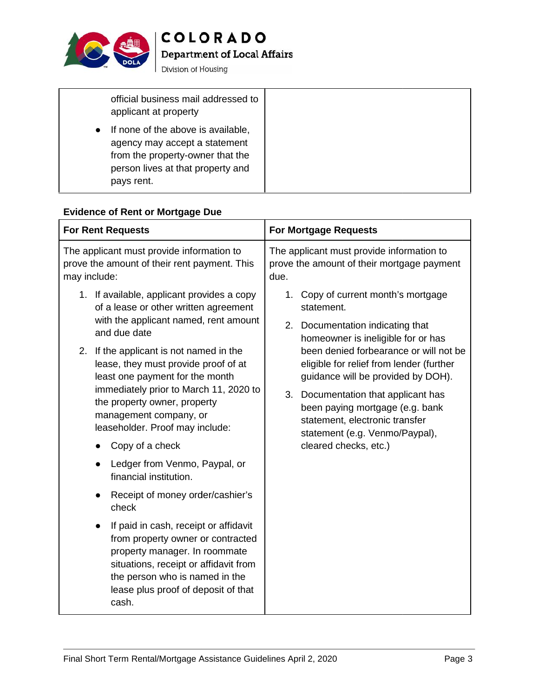

Department of Local Affairs

Division of Housing

| official business mail addressed to<br>applicant at property                                                                                               |
|------------------------------------------------------------------------------------------------------------------------------------------------------------|
| If none of the above is available,<br>agency may accept a statement<br>from the property-owner that the<br>person lives at that property and<br>pays rent. |

#### **Evidence of Rent or Mortgage Due**

| applicant at property                                                                                                                                                                                                                                                                                                                                                                                                                                                                                                                                                                                                                                                                                                                                                 |                                                                                                                                                                                                                                                                                                                                                                                                                                |
|-----------------------------------------------------------------------------------------------------------------------------------------------------------------------------------------------------------------------------------------------------------------------------------------------------------------------------------------------------------------------------------------------------------------------------------------------------------------------------------------------------------------------------------------------------------------------------------------------------------------------------------------------------------------------------------------------------------------------------------------------------------------------|--------------------------------------------------------------------------------------------------------------------------------------------------------------------------------------------------------------------------------------------------------------------------------------------------------------------------------------------------------------------------------------------------------------------------------|
| If none of the above is available,<br>agency may accept a statement<br>from the property-owner that the<br>person lives at that property and<br>pays rent.                                                                                                                                                                                                                                                                                                                                                                                                                                                                                                                                                                                                            |                                                                                                                                                                                                                                                                                                                                                                                                                                |
| <b>Evidence of Rent or Mortgage Due</b>                                                                                                                                                                                                                                                                                                                                                                                                                                                                                                                                                                                                                                                                                                                               |                                                                                                                                                                                                                                                                                                                                                                                                                                |
| <b>For Rent Requests</b>                                                                                                                                                                                                                                                                                                                                                                                                                                                                                                                                                                                                                                                                                                                                              | <b>For Mortgage Requests</b>                                                                                                                                                                                                                                                                                                                                                                                                   |
| The applicant must provide information to<br>prove the amount of their rent payment. This<br>may include:                                                                                                                                                                                                                                                                                                                                                                                                                                                                                                                                                                                                                                                             | The applicant must provide information to<br>prove the amount of their mortgage payment<br>due.                                                                                                                                                                                                                                                                                                                                |
| 1. If available, applicant provides a copy<br>of a lease or other written agreement<br>with the applicant named, rent amount<br>and due date<br>2. If the applicant is not named in the<br>lease, they must provide proof of at<br>least one payment for the month<br>immediately prior to March 11, 2020 to<br>the property owner, property<br>management company, or<br>leaseholder. Proof may include:<br>Copy of a check<br>Ledger from Venmo, Paypal, or<br>financial institution.<br>Receipt of money order/cashier's<br>check<br>If paid in cash, receipt or affidavit<br>from property owner or contracted<br>property manager. In roommate<br>situations, receipt or affidavit from<br>the person who is named in the<br>lease plus proof of deposit of that | 1. Copy of current month's mortgage<br>statement.<br>2. Documentation indicating that<br>homeowner is ineligible for or has<br>been denied forbearance or will not be<br>eligible for relief from lender (further<br>guidance will be provided by DOH).<br>3. Documentation that applicant has<br>been paying mortgage (e.g. bank<br>statement, electronic transfer<br>statement (e.g. Venmo/Paypal),<br>cleared checks, etc.) |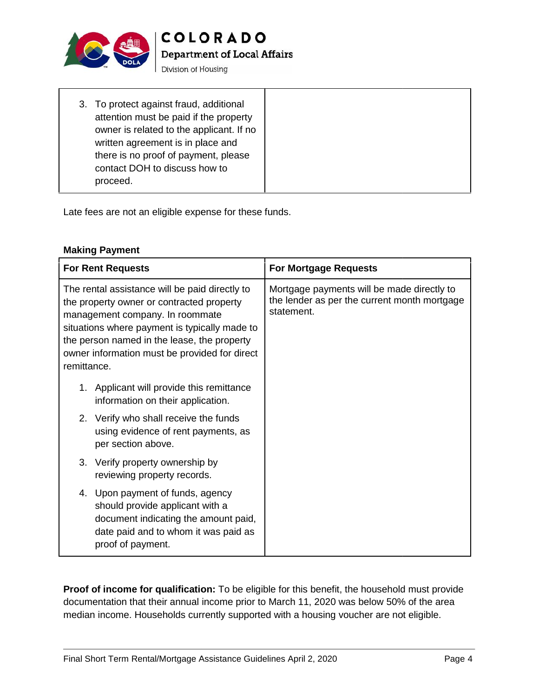

**Department of Local Affairs** 

Division of Housing

| 3. To protect against fraud, additional  |
|------------------------------------------|
| attention must be paid if the property   |
| owner is related to the applicant. If no |
| written agreement is in place and        |
| there is no proof of payment, please     |
| contact DOH to discuss how to            |
| proceed.                                 |
|                                          |

#### **Making Payment**

| attention must be paid if the property<br>owner is related to the applicant. If no<br>written agreement is in place and<br>there is no proof of payment, please<br>contact DOH to discuss how to<br>proceed.                                                                                   |                                                                                                          |
|------------------------------------------------------------------------------------------------------------------------------------------------------------------------------------------------------------------------------------------------------------------------------------------------|----------------------------------------------------------------------------------------------------------|
| Late fees are not an eligible expense for these funds.                                                                                                                                                                                                                                         |                                                                                                          |
| <b>Making Payment</b>                                                                                                                                                                                                                                                                          |                                                                                                          |
| <b>For Rent Requests</b>                                                                                                                                                                                                                                                                       | <b>For Mortgage Requests</b>                                                                             |
| The rental assistance will be paid directly to<br>the property owner or contracted property<br>management company. In roommate<br>situations where payment is typically made to<br>the person named in the lease, the property<br>owner information must be provided for direct<br>remittance. | Mortgage payments will be made directly to<br>the lender as per the current month mortgage<br>statement. |
| 1. Applicant will provide this remittance<br>information on their application.                                                                                                                                                                                                                 |                                                                                                          |
| 2. Verify who shall receive the funds<br>using evidence of rent payments, as<br>per section above.                                                                                                                                                                                             |                                                                                                          |
| 3. Verify property ownership by<br>reviewing property records.                                                                                                                                                                                                                                 |                                                                                                          |
| 4. Upon payment of funds, agency<br>should provide applicant with a<br>document indicating the amount paid,<br>date paid and to whom it was paid as<br>proof of payment.                                                                                                                       |                                                                                                          |
| documentation that their annual income prior to March 11, 2020 was below 50% of the area<br>median income. Households currently supported with a housing voucher are not eligible.                                                                                                             | Proof of income for qualification: To be eligible for this benefit, the household must provide           |
| Final Short Term Rental/Mortgage Assistance Guidelines April 2, 2020                                                                                                                                                                                                                           | Page 4                                                                                                   |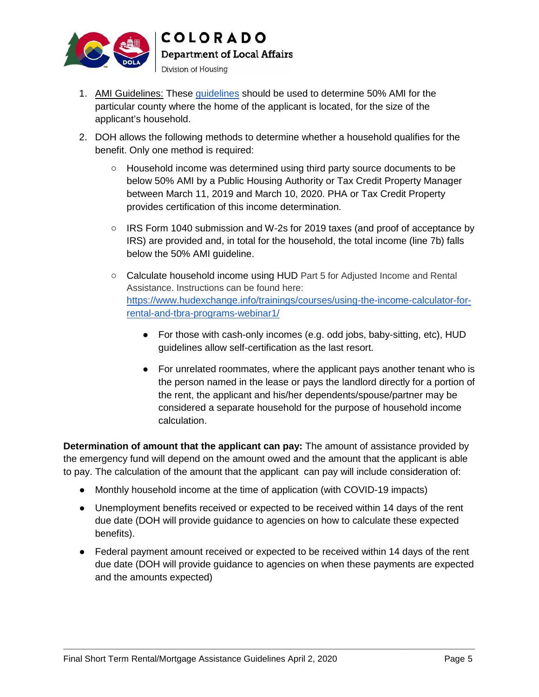

**COLORADO Department of Local Affairs** 

Division of Housing

- 1. AMI Guidelines: These guidelines should be used to determine 50% AMI for the particular county where the home of the applicant is located, for the size of the applicant's household.
- 2. DOH allows the following methods to determine whether a household qualifies for the benefit. Only one method is required:

Household income was determined using third party source documents to be below 50% AMI by a Public Housing Authority or Tax Credit Property Manager between March 11, 2019 and March 10, 2020. PHA or Tax Credit Property provides certification of this income determination. the following methods to determine whether a household qualifies for the<br>Only one method is required:<br>Household income was determined using third party source documents to be<br>below 50% AMI by a Public Housing Authority or

IRS Form 1040 submission and W-2s for 2019 taxes (and proof of acceptance by IRS) are provided and, in total for the household, the total income (line 7b) falls below the 50% AMI guideline.

Calculate household income using HUD Part 5 for Adjusted Income and Rental Assistance. Instructions can be found here: https://www.hudexchange.info/trainings/courses/using-the-income-calculator-forrental-and-tbra-programs-webinar1/

For those with cash-only incomes (e.g. odd jobs, baby-sitting, etc), HUD guidelines allow self-certification as the last resort.

For unrelated roommates, where the applicant pays another tenant who is the person named in the lease or pays the landlord directly for a portion of the rent, the applicant and his/her dependents/spouse/partner may be considered a separate household for the purpose of household income calculation. AMI Cuideliness: These guideliness hould be used to determine 60%-MM for the<br>experimental form of the system of the system of the system of the system of the system of the system of the system of DOH allows the following m For those with cash-only incomes (e.g. odd jobs, baby-sitting, etc), HUD<br>guidelines allow self-certification as the last resort.<br>For unrelated roommates, where the applicant pays another tenant who is<br>the person named in t Calculate household income using HUD Part 5 for Adjusted Income and Rental<br>Assistance. Instructions can be found here:<br>
https://www.hudexchange.info/trainings/courses/using-the-income-calculator-forental-and-tbra-programs-

**Determination of amount that the applicant can pay:** The amount of assistance provided by **that the**  the emergency fund will depend on the amount owed and the amount that the applicant is able to pay. The calculation of the amount that the applicant can pay will include consideration of:

Monthly household income at the time of application (with COVID-19 impacts)

Unemployment benefits received or expected to be received within 14 days of the rent due date (DOH will provide guidance to agencies on how to calculate these expected benefits).

Federal payment amount received or expected to be received within 14 days of the rent due date (DOH will provide guidance to agencies on when these payments are expected and the amounts expected)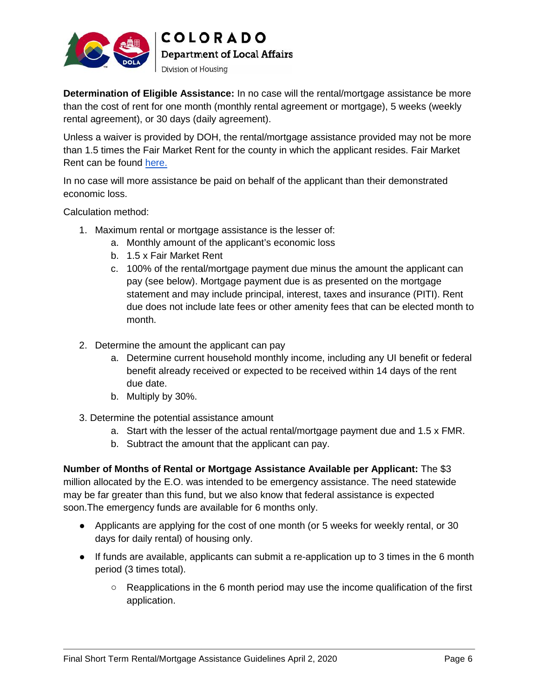

**COLORADO Department of Local Affairs** 

Division of Housing

**Determination of Eligible Assistance:** In no case will the rental/mortgage assistance be more than the cost of rent for one month (monthly rental agreement or mortgage), 5 weeks (weekly rental agreement), or 30 days (daily agreement).

Unless a waiver is provided by DOH, the rental/mortgage assistance provided may not be more than 1.5 times the Fair Market Rent for the county in which the applicant resides. Fair Market Rent can be found here.

In no case will more assistance be paid on behalf of the applicant than their demonstrated economic loss.

Calculation method:

- 1. Maximum rental or mortgage assistance is the lesser of:
	- a. Monthly amount of the applicant's economic loss
	- b. 1.5 x Fair Market Rent
- c. 100% of the rental/mortgage payment due minus the amount the applicant can pay (see below). Mortgage payment due is as presented on the mortgage statement and may include principal, interest, taxes and insurance (PITI). Rent due does not include late fees or other amenity fees that can be elected month to month. Determination of Eligibite Assistance. In no case will the caractive nongong essistance be now the method.<br>Unless a waiver is provided by DOH, the entrationengape assistance provided may not be more<br>chan Signes (daily agre
	- 2. Determine the amount the applicant can pay
		- a. Determine current household monthly income, including any UI benefit or federal benefit already received or expected to be received within 14 days of the rent due date. Determine current household monthly income, including any UI benefit or federabenefit already received or expected to be received within 14 days of the rent<br>due date.<br>Multiply by 30%.<br>he the potential assistance amount<br>Sta
		- b. Multiply by 30%.
	- 3. Determine the potential assistance amount
		- a. Start with the lesser of the actual rental/mortgage payment due and 1.5 x FMR.
		- b. Subtract the amount that the applicant can pay.

**Number of Months of Rental or Mortgage Assistance Available per Applicant:** The \$3 **Number of Months of Rental or Mortgage Assistance Available per Applicant:** The \$3<br>million allocated by the E.O. was intended to be emergency assistance. The need statewide may be far greater than this fund, but we also know that federal assistance is expected soon.The emergency funds are available for 6 months only. does not include late fees or other amenity fees that can be elected mont<br>th.<br>the amount the applicant can pay<br>rmine current household monthly income, including any UI benefit or fed<br>efit already received or expected to be

Applicants are applying for the cost of one month (or 5 weeks for weekly rental, or 30 days for daily rental) of housing only.

If funds are available, applicants can submit a re-application up to 3 times in the 6 month period (3 times total).

Reapplications in the 6 month period may use the income qualification of the first application.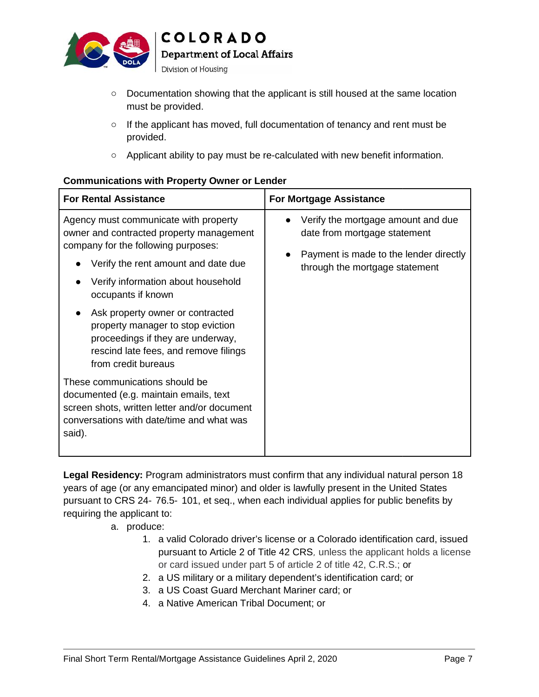

**Department of Local Affairs** 

Division of Housing

Documentation showing that the applicant is still housed at the same location must be provided.

#### **Communications with Property Owner or Lender**

| must be provided.                                                                                                                                                                                                                                                                                                                        | Documentation showing that the applicant is still housed at the same location                                                                                                                                                                                                                                                                                                                      |
|------------------------------------------------------------------------------------------------------------------------------------------------------------------------------------------------------------------------------------------------------------------------------------------------------------------------------------------|----------------------------------------------------------------------------------------------------------------------------------------------------------------------------------------------------------------------------------------------------------------------------------------------------------------------------------------------------------------------------------------------------|
| provided.                                                                                                                                                                                                                                                                                                                                | If the applicant has moved, full documentation of tenancy and rent must be                                                                                                                                                                                                                                                                                                                         |
|                                                                                                                                                                                                                                                                                                                                          | Applicant ability to pay must be re-calculated with new benefit information.                                                                                                                                                                                                                                                                                                                       |
| <b>Communications with Property Owner or Lender</b>                                                                                                                                                                                                                                                                                      |                                                                                                                                                                                                                                                                                                                                                                                                    |
| <b>For Rental Assistance</b>                                                                                                                                                                                                                                                                                                             | <b>For Mortgage Assistance</b>                                                                                                                                                                                                                                                                                                                                                                     |
| Agency must communicate with property<br>owner and contracted property management<br>company for the following purposes:                                                                                                                                                                                                                 | Verify the mortgage amount and due<br>date from mortgage statement                                                                                                                                                                                                                                                                                                                                 |
| Verify the rent amount and date due                                                                                                                                                                                                                                                                                                      | Payment is made to the lender directly<br>through the mortgage statement                                                                                                                                                                                                                                                                                                                           |
| Verify information about household<br>occupants if known                                                                                                                                                                                                                                                                                 |                                                                                                                                                                                                                                                                                                                                                                                                    |
| Ask property owner or contracted<br>property manager to stop eviction<br>proceedings if they are underway,<br>rescind late fees, and remove filings<br>from credit bureaus                                                                                                                                                               |                                                                                                                                                                                                                                                                                                                                                                                                    |
| These communications should be<br>documented (e.g. maintain emails, text<br>screen shots, written letter and/or document<br>conversations with date/time and what was<br>said).                                                                                                                                                          |                                                                                                                                                                                                                                                                                                                                                                                                    |
| years of age (or any emancipated minor) and older is lawfully present in the United States<br>pursuant to CRS 24 76.5 101, et seq., when each individual applies for public benefits by<br>requiring the applicant to:<br>a. produce:<br>2.<br>3. a US Coast Guard Merchant Mariner card; or<br>4. a Native American Tribal Document; or | Legal Residency: Program administrators must confirm that any individual natural person 18<br>1. a valid Colorado driver's license or a Colorado identification card, issued<br>pursuant to Article 2 of Title 42 CRS, unless the applicant holds a license<br>or card issued under part 5 of article 2 of title 42, C.R.S.; or<br>a US military or a military dependent's identification card; or |
| Final Short Term Rental/Mortgage Assistance Guidelines April 2, 2020                                                                                                                                                                                                                                                                     | Page 7                                                                                                                                                                                                                                                                                                                                                                                             |

- a. produce:
- 1. a valid Colorado driver's license or a Colorado identification card, issued pursuant to Article 2 of Title 42 CRS, unless the applicant holds a license or card issued under part 5 of article 2 of title 42, C.R.S.; or 24–76.5–101, et seq., when each individual applies for public benefits<br>applicant to:<br>produce:<br>1. a valid Colorado driver's license or a Colorado identification card, i<br>pursuant to Article 2 of Title 42 CRS, unless the appl
	- 2. a US military or a military dependent's identification card; or
	- 3. a US Coast Guard Merchant Mariner card; or
	- 4. a Native American Tribal Document; or American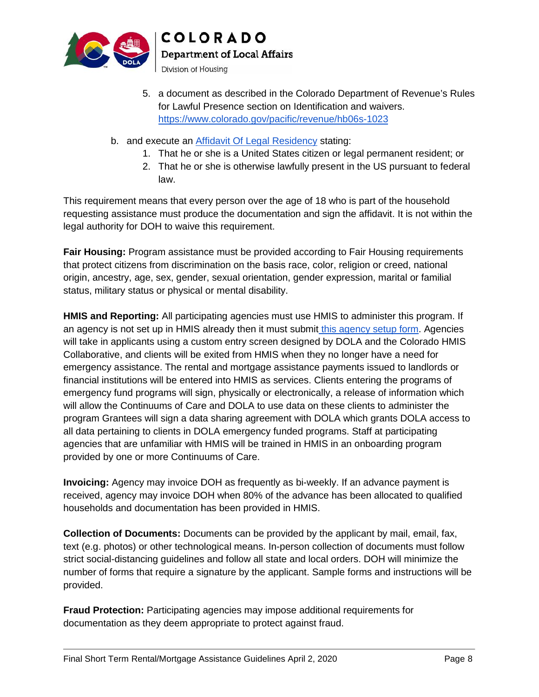

**Department of Local Affairs** 

Division of Housing

- 5. a document as described in the Colorado Department of Revenue's Rules for Lawful Presence section on Identification and waivers. https://www.colorado.gov/pacific/revenue/hb06s-1023
- b. and execute an <u>Affidavit Of Legal Residency</u> stating:
	- 1. That he or she is a United States citizen or legal permanent resident; or
	- 2. That he or she is otherwise lawfully present in the US pursuant to federal law.

This requirement means that every person over the age of 18 who is part of the household requesting assistance must produce the documentation and sign the affidavit. It is not within the legal authority for DOH to waive this requirement.

**Fair Housing:** Program assistance must be provided according to Fair Housing requirements that protect citizens from discrimination on the basis race, color, religion or creed, national origin, ancestry, age, sex, gender, sexual orientation, gender expression, marital or familial status, military status or physical or mental disability.

**HMIS and Reporting:** All participating agencies must use HMIS to administer this program. If an agency is not set up in HMIS already then it must submit this agency setup form. Agencies will take in applicants using a custom entry screen designed by DOLA and the Colorado HMIS Collaborative, and clients will be exited from HMIS when they no longer have a need for emergency assistance. The rental and mortgage assistance payments issued to landlords or financial institutions will be entered into HMIS as services. Clients entering the programs of emergency fund programs will sign, physically or electronically, a release of information which will allow the Continuums of Care and DOLA to use data on these clients to administer the program Grantees will sign a data sharing agreement with DOLA which grants DOLA access to all data pertaining to clients in DOLA emergency funded programs. Staff at participating agencies that are unfamiliar with HMIS will be trained in HMIS in an onboarding program provided by one or more Continuums of Care. The the Colorado Department of Revenue's Rules<br>Theorial in the Colorado Department of Revenue's Rules<br>section on Identification and waivers.<br>Egal Residency stating:<br>Legal Residency stating:<br>Thited States clitzen or legal p <sup>1</sup>. That he or she is a United States citizen or legal permanent resident; or<br><sup>1</sup> aw.<br><sup>18</sup> aw.<br><sup>18</sup> aw.<br><sup>18</sup> aw.<br><sup>18</sup> aw.<br><sup>18</sup> aw.<br><sup>18</sup> aw.<br><sup>18</sup> aw.<br>18 assistance must produce the documentation and sign the affidavit. It massistance must produce the documentation and sign the affidavit. It is not within the charge sastistance must produce the documentation and sign the affidavit. It is not within the saige continuation on the basis race, c

**Invoicing:** Agency may invoice DOH as frequently as bi-weekly. If an advance payment is received, agency may invoice DOH when 80% of the advance has been allocated to qualified households and documentation has been provided in HMIS.

**Collection of Documents:** Documents can be provided by the applicant by mail, email, fax, text (e.g. photos) or other technological means. In-person collection of documents must follow strict social-distancing guidelines and follow all state and local orders. DOH will minimize the number of forms that require a signature by the applicant. Sample forms and instructions will be provided.

**Fraud Protection:** Participating agencies may impose additional requirements for documentation as they deem appropriate to protect against fraud.